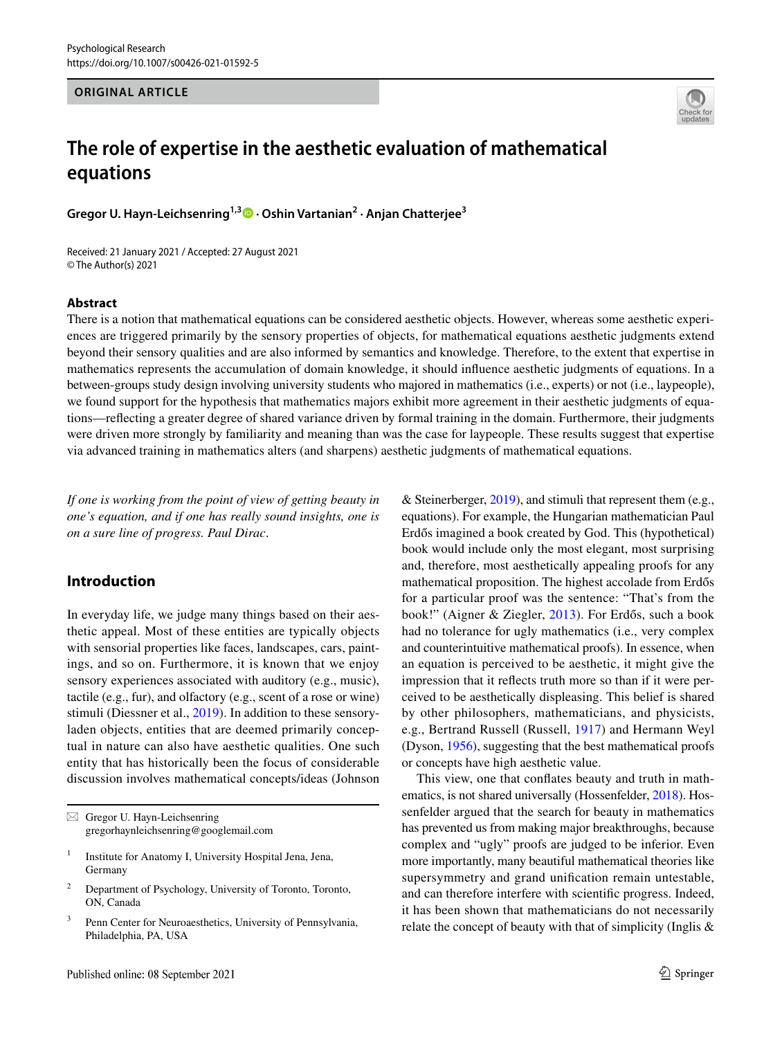#### **ORIGINAL ARTICLE**



# **The role of expertise in the aesthetic evaluation of mathematical equations**

**Gregor U. Hayn‑Leichsenring1,3 · Oshin Vartanian2 · Anjan Chatterjee3**

Received: 21 January 2021 / Accepted: 27 August 2021 © The Author(s) 2021

#### **Abstract**

There is a notion that mathematical equations can be considered aesthetic objects. However, whereas some aesthetic experiences are triggered primarily by the sensory properties of objects, for mathematical equations aesthetic judgments extend beyond their sensory qualities and are also informed by semantics and knowledge. Therefore, to the extent that expertise in mathematics represents the accumulation of domain knowledge, it should infuence aesthetic judgments of equations. In a between-groups study design involving university students who majored in mathematics (i.e., experts) or not (i.e., laypeople), we found support for the hypothesis that mathematics majors exhibit more agreement in their aesthetic judgments of equations—refecting a greater degree of shared variance driven by formal training in the domain. Furthermore, their judgments were driven more strongly by familiarity and meaning than was the case for laypeople. These results suggest that expertise via advanced training in mathematics alters (and sharpens) aesthetic judgments of mathematical equations.

*If one is working from the point of view of getting beauty in one's equation, and if one has really sound insights, one is on a sure line of progress. Paul Dirac*.

# **Introduction**

In everyday life, we judge many things based on their aesthetic appeal. Most of these entities are typically objects with sensorial properties like faces, landscapes, cars, paintings, and so on. Furthermore, it is known that we enjoy sensory experiences associated with auditory (e.g., music), tactile (e.g., fur), and olfactory (e.g., scent of a rose or wine) stimuli (Diessner et al., [2019\)](#page-8-0). In addition to these sensoryladen objects, entities that are deemed primarily conceptual in nature can also have aesthetic qualities. One such entity that has historically been the focus of considerable discussion involves mathematical concepts/ideas (Johnson & Steinerberger, [2019\)](#page-9-0), and stimuli that represent them (e.g., equations). For example, the Hungarian mathematician Paul Erdős imagined a book created by God. This (hypothetical) book would include only the most elegant, most surprising and, therefore, most aesthetically appealing proofs for any mathematical proposition. The highest accolade from Erdős for a particular proof was the sentence: "That's from the book!" (Aigner & Ziegler, [2013\)](#page-8-1). For Erdős, such a book had no tolerance for ugly mathematics (i.e., very complex and counterintuitive mathematical proofs). In essence, when an equation is perceived to be aesthetic, it might give the impression that it refects truth more so than if it were perceived to be aesthetically displeasing. This belief is shared by other philosophers, mathematicians, and physicists, e.g., Bertrand Russell (Russell, [1917](#page-9-1)) and Hermann Weyl (Dyson, [1956](#page-8-2)), suggesting that the best mathematical proofs or concepts have high aesthetic value.

This view, one that confates beauty and truth in mathematics, is not shared universally (Hossenfelder, [2018\)](#page-9-2). Hossenfelder argued that the search for beauty in mathematics has prevented us from making major breakthroughs, because complex and "ugly" proofs are judged to be inferior. Even more importantly, many beautiful mathematical theories like supersymmetry and grand unifcation remain untestable, and can therefore interfere with scientifc progress. Indeed, it has been shown that mathematicians do not necessarily relate the concept of beauty with that of simplicity (Inglis &

 $\boxtimes$  Gregor U. Hayn-Leichsenring gregorhaynleichsenring@googlemail.com

<sup>&</sup>lt;sup>1</sup> Institute for Anatomy I, University Hospital Jena, Jena, Germany

<sup>2</sup> Department of Psychology, University of Toronto, Toronto, ON, Canada

<sup>&</sup>lt;sup>3</sup> Penn Center for Neuroaesthetics, University of Pennsylvania, Philadelphia, PA, USA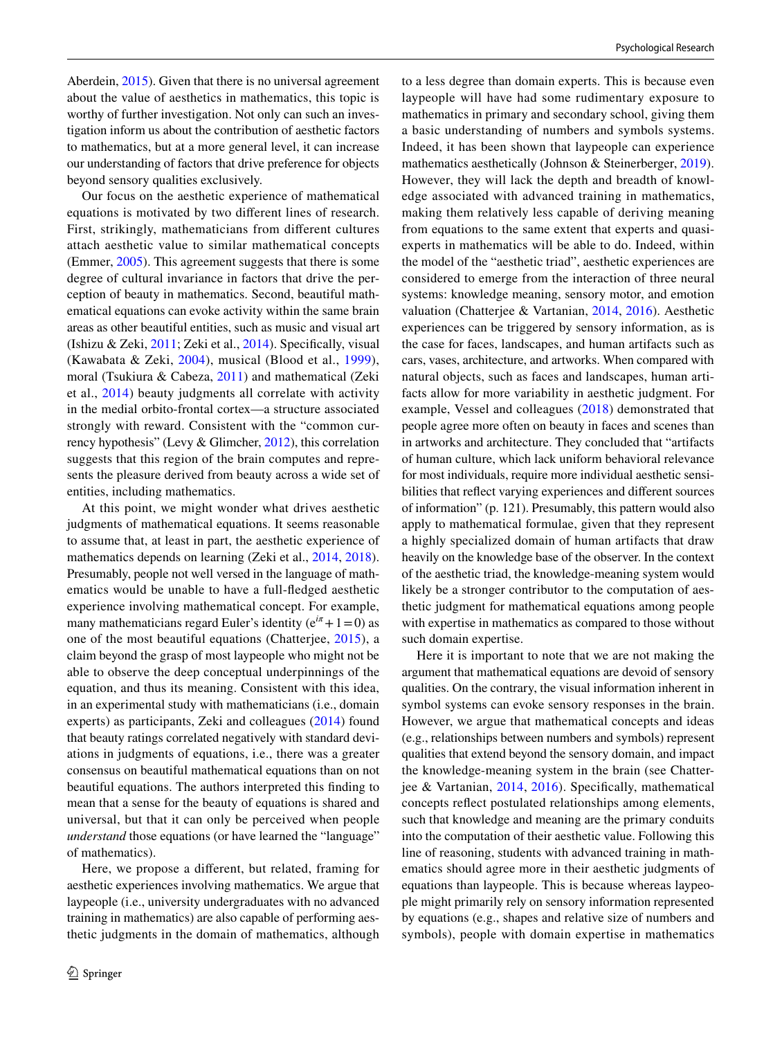Aberdein, [2015\)](#page-9-3). Given that there is no universal agreement about the value of aesthetics in mathematics, this topic is worthy of further investigation. Not only can such an investigation inform us about the contribution of aesthetic factors to mathematics, but at a more general level, it can increase our understanding of factors that drive preference for objects beyond sensory qualities exclusively.

Our focus on the aesthetic experience of mathematical equations is motivated by two diferent lines of research. First, strikingly, mathematicians from diferent cultures attach aesthetic value to similar mathematical concepts (Emmer, [2005\)](#page-8-3). This agreement suggests that there is some degree of cultural invariance in factors that drive the perception of beauty in mathematics. Second, beautiful mathematical equations can evoke activity within the same brain areas as other beautiful entities, such as music and visual art (Ishizu & Zeki, [2011;](#page-9-4) Zeki et al., [2014](#page-9-5)). Specifcally, visual (Kawabata & Zeki, [2004\)](#page-9-6), musical (Blood et al., [1999\)](#page-8-4), moral (Tsukiura & Cabeza, [2011\)](#page-9-7) and mathematical (Zeki et al., [2014](#page-9-5)) beauty judgments all correlate with activity in the medial orbito-frontal cortex—a structure associated strongly with reward. Consistent with the "common currency hypothesis" (Levy & Glimcher, [2012](#page-9-8)), this correlation suggests that this region of the brain computes and represents the pleasure derived from beauty across a wide set of entities, including mathematics.

At this point, we might wonder what drives aesthetic judgments of mathematical equations. It seems reasonable to assume that, at least in part, the aesthetic experience of mathematics depends on learning (Zeki et al., [2014](#page-9-5), [2018](#page-9-9)). Presumably, people not well versed in the language of mathematics would be unable to have a full-fedged aesthetic experience involving mathematical concept. For example, many mathematicians regard Euler's identity ( $e^{i\pi} + 1 = 0$ ) as one of the most beautiful equations (Chatterjee, [2015](#page-8-5)), a claim beyond the grasp of most laypeople who might not be able to observe the deep conceptual underpinnings of the equation, and thus its meaning. Consistent with this idea, in an experimental study with mathematicians (i.e., domain experts) as participants, Zeki and colleagues [\(2014\)](#page-9-5) found that beauty ratings correlated negatively with standard deviations in judgments of equations, i.e., there was a greater consensus on beautiful mathematical equations than on not beautiful equations. The authors interpreted this fnding to mean that a sense for the beauty of equations is shared and universal, but that it can only be perceived when people *understand* those equations (or have learned the "language" of mathematics).

Here, we propose a diferent, but related, framing for aesthetic experiences involving mathematics. We argue that laypeople (i.e., university undergraduates with no advanced training in mathematics) are also capable of performing aesthetic judgments in the domain of mathematics, although to a less degree than domain experts. This is because even laypeople will have had some rudimentary exposure to mathematics in primary and secondary school, giving them a basic understanding of numbers and symbols systems. Indeed, it has been shown that laypeople can experience mathematics aesthetically (Johnson & Steinerberger, [2019](#page-9-0)). However, they will lack the depth and breadth of knowledge associated with advanced training in mathematics, making them relatively less capable of deriving meaning from equations to the same extent that experts and quasiexperts in mathematics will be able to do. Indeed, within the model of the "aesthetic triad", aesthetic experiences are considered to emerge from the interaction of three neural systems: knowledge meaning, sensory motor, and emotion valuation (Chatterjee & Vartanian, [2014](#page-8-6), [2016](#page-8-7)). Aesthetic experiences can be triggered by sensory information, as is the case for faces, landscapes, and human artifacts such as cars, vases, architecture, and artworks. When compared with natural objects, such as faces and landscapes, human artifacts allow for more variability in aesthetic judgment. For example, Vessel and colleagues ([2018\)](#page-9-10) demonstrated that people agree more often on beauty in faces and scenes than in artworks and architecture. They concluded that "artifacts of human culture, which lack uniform behavioral relevance for most individuals, require more individual aesthetic sensibilities that refect varying experiences and diferent sources of information" (p. 121). Presumably, this pattern would also apply to mathematical formulae, given that they represent a highly specialized domain of human artifacts that draw heavily on the knowledge base of the observer. In the context of the aesthetic triad, the knowledge-meaning system would likely be a stronger contributor to the computation of aesthetic judgment for mathematical equations among people with expertise in mathematics as compared to those without such domain expertise.

Here it is important to note that we are not making the argument that mathematical equations are devoid of sensory qualities. On the contrary, the visual information inherent in symbol systems can evoke sensory responses in the brain. However, we argue that mathematical concepts and ideas (e.g., relationships between numbers and symbols) represent qualities that extend beyond the sensory domain, and impact the knowledge-meaning system in the brain (see Chatterjee & Vartanian, [2014](#page-8-6), [2016](#page-8-7)). Specifcally, mathematical concepts refect postulated relationships among elements, such that knowledge and meaning are the primary conduits into the computation of their aesthetic value. Following this line of reasoning, students with advanced training in mathematics should agree more in their aesthetic judgments of equations than laypeople. This is because whereas laypeople might primarily rely on sensory information represented by equations (e.g., shapes and relative size of numbers and symbols), people with domain expertise in mathematics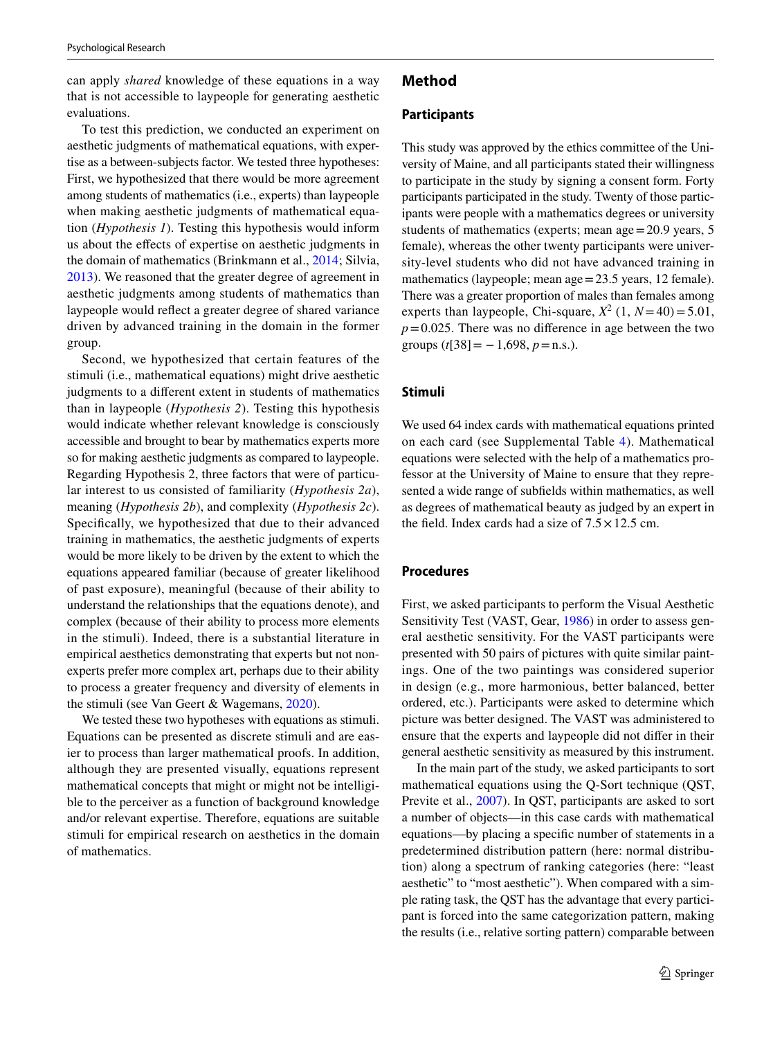can apply *shared* knowledge of these equations in a way that is not accessible to laypeople for generating aesthetic evaluations.

To test this prediction, we conducted an experiment on aesthetic judgments of mathematical equations, with expertise as a between-subjects factor. We tested three hypotheses: First, we hypothesized that there would be more agreement among students of mathematics (i.e., experts) than laypeople when making aesthetic judgments of mathematical equation (*Hypothesis 1*). Testing this hypothesis would inform us about the efects of expertise on aesthetic judgments in the domain of mathematics (Brinkmann et al., [2014](#page-8-8); Silvia, [2013](#page-9-11)). We reasoned that the greater degree of agreement in aesthetic judgments among students of mathematics than laypeople would refect a greater degree of shared variance driven by advanced training in the domain in the former group.

Second, we hypothesized that certain features of the stimuli (i.e., mathematical equations) might drive aesthetic judgments to a diferent extent in students of mathematics than in laypeople (*Hypothesis 2*). Testing this hypothesis would indicate whether relevant knowledge is consciously accessible and brought to bear by mathematics experts more so for making aesthetic judgments as compared to laypeople. Regarding Hypothesis 2, three factors that were of particular interest to us consisted of familiarity (*Hypothesis 2a*), meaning (*Hypothesis 2b*), and complexity (*Hypothesis 2c*). Specifcally, we hypothesized that due to their advanced training in mathematics, the aesthetic judgments of experts would be more likely to be driven by the extent to which the equations appeared familiar (because of greater likelihood of past exposure), meaningful (because of their ability to understand the relationships that the equations denote), and complex (because of their ability to process more elements in the stimuli). Indeed, there is a substantial literature in empirical aesthetics demonstrating that experts but not nonexperts prefer more complex art, perhaps due to their ability to process a greater frequency and diversity of elements in the stimuli (see Van Geert & Wagemans, [2020](#page-9-12)).

We tested these two hypotheses with equations as stimuli. Equations can be presented as discrete stimuli and are easier to process than larger mathematical proofs. In addition, although they are presented visually, equations represent mathematical concepts that might or might not be intelligible to the perceiver as a function of background knowledge and/or relevant expertise. Therefore, equations are suitable stimuli for empirical research on aesthetics in the domain of mathematics.

## **Method**

#### **Participants**

This study was approved by the ethics committee of the University of Maine, and all participants stated their willingness to participate in the study by signing a consent form. Forty participants participated in the study. Twenty of those participants were people with a mathematics degrees or university students of mathematics (experts; mean age=20.9 years, 5 female), whereas the other twenty participants were university-level students who did not have advanced training in mathematics (laypeople; mean age = 23.5 years, 12 female). There was a greater proportion of males than females among experts than laypeople, Chi-square,  $X^2$  (1,  $N=40$ ) = 5.01,  $p=0.025$ . There was no difference in age between the two groups  $(t[38] = -1,698, p=n.s.).$ 

## **Stimuli**

We used 64 index cards with mathematical equations printed on each card (see Supplemental Table [4](#page-7-0)). Mathematical equations were selected with the help of a mathematics professor at the University of Maine to ensure that they represented a wide range of subfelds within mathematics, as well as degrees of mathematical beauty as judged by an expert in the field. Index cards had a size of  $7.5 \times 12.5$  cm.

### **Procedures**

First, we asked participants to perform the Visual Aesthetic Sensitivity Test (VAST, Gear, [1986](#page-8-9)) in order to assess general aesthetic sensitivity. For the VAST participants were presented with 50 pairs of pictures with quite similar paintings. One of the two paintings was considered superior in design (e.g., more harmonious, better balanced, better ordered, etc.). Participants were asked to determine which picture was better designed. The VAST was administered to ensure that the experts and laypeople did not difer in their general aesthetic sensitivity as measured by this instrument.

In the main part of the study, we asked participants to sort mathematical equations using the Q-Sort technique (QST, Previte et al., [2007\)](#page-9-13). In QST, participants are asked to sort a number of objects—in this case cards with mathematical equations—by placing a specifc number of statements in a predetermined distribution pattern (here: normal distribution) along a spectrum of ranking categories (here: "least aesthetic" to "most aesthetic"). When compared with a simple rating task, the QST has the advantage that every participant is forced into the same categorization pattern, making the results (i.e., relative sorting pattern) comparable between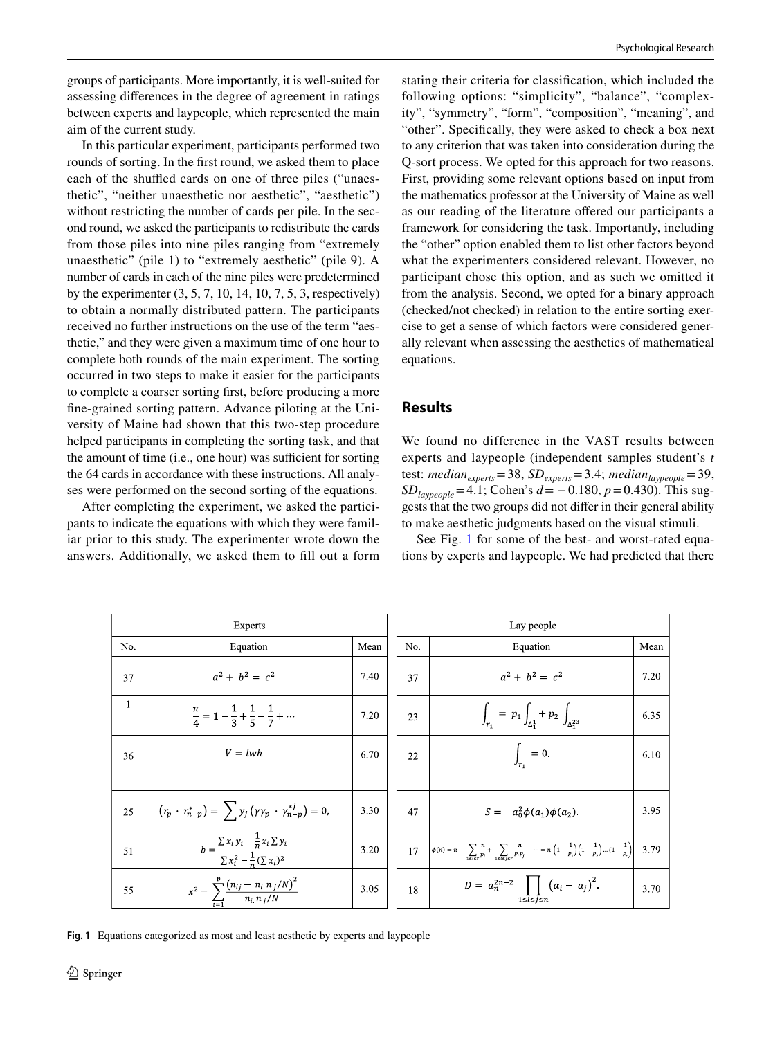groups of participants. More importantly, it is well-suited for assessing diferences in the degree of agreement in ratings between experts and laypeople, which represented the main aim of the current study.

In this particular experiment, participants performed two rounds of sorting. In the frst round, we asked them to place each of the shuffled cards on one of three piles ("unaesthetic", "neither unaesthetic nor aesthetic", "aesthetic") without restricting the number of cards per pile. In the second round, we asked the participants to redistribute the cards from those piles into nine piles ranging from "extremely unaesthetic" (pile 1) to "extremely aesthetic" (pile 9). A number of cards in each of the nine piles were predetermined by the experimenter (3, 5, 7, 10, 14, 10, 7, 5, 3, respectively) to obtain a normally distributed pattern. The participants received no further instructions on the use of the term "aesthetic," and they were given a maximum time of one hour to complete both rounds of the main experiment. The sorting occurred in two steps to make it easier for the participants to complete a coarser sorting frst, before producing a more fne-grained sorting pattern. Advance piloting at the University of Maine had shown that this two-step procedure helped participants in completing the sorting task, and that the amount of time (i.e., one hour) was sufficient for sorting the 64 cards in accordance with these instructions. All analyses were performed on the second sorting of the equations.

After completing the experiment, we asked the participants to indicate the equations with which they were familiar prior to this study. The experimenter wrote down the answers. Additionally, we asked them to fll out a form stating their criteria for classifcation, which included the following options: "simplicity", "balance", "complexity", "symmetry", "form", "composition", "meaning", and "other". Specifcally, they were asked to check a box next to any criterion that was taken into consideration during the Q-sort process. We opted for this approach for two reasons. First, providing some relevant options based on input from the mathematics professor at the University of Maine as well as our reading of the literature ofered our participants a framework for considering the task. Importantly, including the "other" option enabled them to list other factors beyond what the experimenters considered relevant. However, no participant chose this option, and as such we omitted it from the analysis. Second, we opted for a binary approach (checked/not checked) in relation to the entire sorting exercise to get a sense of which factors were considered generally relevant when assessing the aesthetics of mathematical equations.

### **Results**

We found no difference in the VAST results between experts and laypeople (independent samples student's *t* test: *median*<sub>experts</sub>=38, *SD*<sub>experts</sub>=3.4; *median*<sub>laypeople</sub>=39,  $SD_{\text{lavpeople}} = 4.1$ ; Cohen's  $d = -0.180$ ,  $p = 0.430$ ). This suggests that the two groups did not difer in their general ability to make aesthetic judgments based on the visual stimuli.

See Fig. [1](#page-3-0) for some of the best- and worst-rated equations by experts and laypeople. We had predicted that there

| Experts      |                                                                                             |      |  | Lay people |                                                                                                                                                                                                              |      |  |  |
|--------------|---------------------------------------------------------------------------------------------|------|--|------------|--------------------------------------------------------------------------------------------------------------------------------------------------------------------------------------------------------------|------|--|--|
| No.          | Equation                                                                                    | Mean |  | No.        | Equation                                                                                                                                                                                                     | Mean |  |  |
| 37           | $a^2 + b^2 = c^2$                                                                           | 7.40 |  | 37         | $a^2 + b^2 = c^2$                                                                                                                                                                                            | 7.20 |  |  |
| $\mathbf{1}$ | $\frac{\pi}{4} = 1 - \frac{1}{3} + \frac{1}{5} - \frac{1}{7} + \cdots$                      | 7.20 |  | 23         | $\int_{r_1} = p_1 \int_{\Delta_1^1} + p_2 \int_{\Delta_2^{23}}$                                                                                                                                              | 6.35 |  |  |
| 36           | $V = lwh$                                                                                   | 6.70 |  | 22         | $\int_{r_1} = 0.$                                                                                                                                                                                            | 6.10 |  |  |
|              |                                                                                             |      |  |            |                                                                                                                                                                                                              |      |  |  |
| 25           | $(r_p \cdot r_{n-p}^*) = \sum_{i} y_i (y y_p \cdot y_{n-p}^{*i}) = 0,$                      | 3.30 |  | 47         | $S = -a_0^2 \phi(a_1) \phi(a_2)$                                                                                                                                                                             | 3.95 |  |  |
| 51           | $b = \frac{\sum x_i y_i - \frac{1}{n} x_i \sum y_i}{\sum x_i^2 - \frac{1}{n} (\sum x_i)^2}$ | 3.20 |  | 17         | $\left \phi(n) = n - \sum_{1 \leq i \leq n} \frac{n}{p_i} + \sum_{1 \leq i \leq n} \frac{n}{p_i p_j} - \dots = n \left(1 - \frac{1}{p_1}\right)\left(1 - \frac{1}{p_2}\right)\dots(1 - \frac{1}{p_r}\right)$ | 3.79 |  |  |
| 55           | $x^2 = \sum_{i=1}^{p} \frac{(n_{ij} - n_i n_j/N)^2}{n_i n_j/N}$                             | 3.05 |  | 18         | $D = a_n^{2n-2}$ $\left( \alpha_i - \alpha_j \right)^2$ .<br>1≤ $l$ ≤ $i$ ≤ $n$                                                                                                                              | 3.70 |  |  |

<span id="page-3-0"></span>**Fig. 1** Equations categorized as most and least aesthetic by experts and laypeople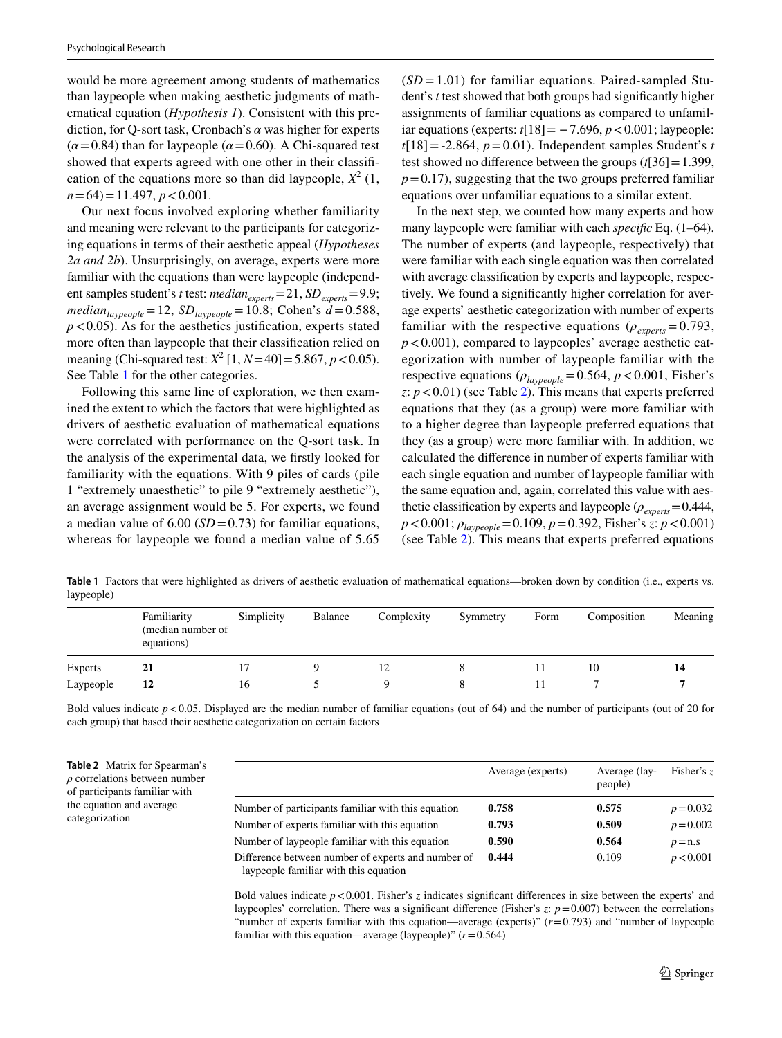would be more agreement among students of mathematics than laypeople when making aesthetic judgments of mathematical equation (*Hypothesis 1*). Consistent with this prediction, for Q-sort task, Cronbach's *α* was higher for experts  $(\alpha = 0.84)$  than for laypeople ( $\alpha = 0.60$ ). A Chi-squared test showed that experts agreed with one other in their classifcation of the equations more so than did laypeople,  $X^2$  (1,  $n=64$ ) = 11.497,  $p < 0.001$ .

Our next focus involved exploring whether familiarity and meaning were relevant to the participants for categorizing equations in terms of their aesthetic appeal (*Hypotheses 2a and 2b*). Unsurprisingly, on average, experts were more familiar with the equations than were laypeople (independent samples student's *t* test: *median*<sub>experts</sub>=21, *SD*<sub>experts</sub>=9.9;  $median_{laypeople} = 12$ ,  $SD_{laypeople} = 10.8$ ; Cohen's  $d = 0.588$ ,  $p < 0.05$ ). As for the aesthetics justification, experts stated more often than laypeople that their classifcation relied on meaning (Chi-squared test:  $X^2$  [1,  $N=40$ ] = 5.867,  $p < 0.05$ ). See Table [1](#page-4-0) for the other categories.

Following this same line of exploration, we then examined the extent to which the factors that were highlighted as drivers of aesthetic evaluation of mathematical equations were correlated with performance on the Q-sort task. In the analysis of the experimental data, we frstly looked for familiarity with the equations. With 9 piles of cards (pile 1 "extremely unaesthetic" to pile 9 "extremely aesthetic"), an average assignment would be 5. For experts, we found a median value of  $6.00$  (*SD* = 0.73) for familiar equations, whereas for laypeople we found a median value of 5.65

(*SD* = 1.01) for familiar equations. Paired-sampled Student's *t* test showed that both groups had signifcantly higher assignments of familiar equations as compared to unfamiliar equations (experts:  $t[18] = -7.696$ ,  $p < 0.001$ ; laypeople:  $t[18] = -2.864$ ,  $p = 0.01$ ). Independent samples Student's *t* test showed no diference between the groups (*t*[36]=1.399,  $p=0.17$ ), suggesting that the two groups preferred familiar equations over unfamiliar equations to a similar extent.

In the next step, we counted how many experts and how many laypeople were familiar with each *specifc* Eq. (1–64). The number of experts (and laypeople, respectively) that were familiar with each single equation was then correlated with average classifcation by experts and laypeople, respectively. We found a signifcantly higher correlation for average experts' aesthetic categorization with number of experts familiar with the respective equations ( $\rho_{\text{exnerts}} = 0.793$ , *p*<0.001), compared to laypeoples' average aesthetic categorization with number of laypeople familiar with the respective equations ( $\rho_{\text{layereople}}$ =0.564,  $p$  < 0.001, Fisher's *z*: *p*<0.01) (see Table [2\)](#page-4-1). This means that experts preferred equations that they (as a group) were more familiar with to a higher degree than laypeople preferred equations that they (as a group) were more familiar with. In addition, we calculated the diference in number of experts familiar with each single equation and number of laypeople familiar with the same equation and, again, correlated this value with aesthetic classification by experts and laypeople ( $\rho_{\text{experts}}$ =0.444, *p*<0.001; *ρlaypeople*=0.109, *p*=0.392, Fisher's *z*: *p*<0.001) (see Table [2](#page-4-1)). This means that experts preferred equations

<span id="page-4-0"></span>**Table 1** Factors that were highlighted as drivers of aesthetic evaluation of mathematical equations—broken down by condition (i.e., experts vs. laypeople)

|                | Familiarity<br>(median number of<br>equations) | Simplicity | Balance | Complexity | Symmetry | Form | Composition | Meaning |
|----------------|------------------------------------------------|------------|---------|------------|----------|------|-------------|---------|
| <b>Experts</b> | 21                                             | 17         |         | 12         |          |      | 10          | 14      |
| Laypeople      | 12                                             | 16         |         |            |          |      |             |         |

Bold values indicate  $p < 0.05$ . Displayed are the median number of familiar equations (out of 64) and the number of participants (out of 20 for each group) that based their aesthetic categorization on certain factors

<span id="page-4-1"></span>**Table 2** Matrix for Spearman's *ρ* correlations between number of participants familiar with the equation and average categorization

|                                                                                             | Average (experts) | Average (lay-<br>people) | Fisher's z  |
|---------------------------------------------------------------------------------------------|-------------------|--------------------------|-------------|
| Number of participants familiar with this equation                                          | 0.758             | 0.575                    | $p = 0.032$ |
| Number of experts familiar with this equation                                               | 0.793             | 0.509                    | $p = 0.002$ |
| Number of laypeople familiar with this equation                                             | 0.590             | 0.564                    | $p = n.s$   |
| Difference between number of experts and number of<br>laypeople familiar with this equation | 0.444             | 0.109                    | p < 0.001   |

Bold values indicate  $p < 0.001$ . Fisher's *z* indicates significant differences in size between the experts' and laypeoples' correlation. There was a significant difference (Fisher's  $z$ :  $p = 0.007$ ) between the correlations "number of experts familiar with this equation—average (experts)" (*r*=0.793) and "number of laypeople familiar with this equation—average (laypeople)" (*r*=0.564)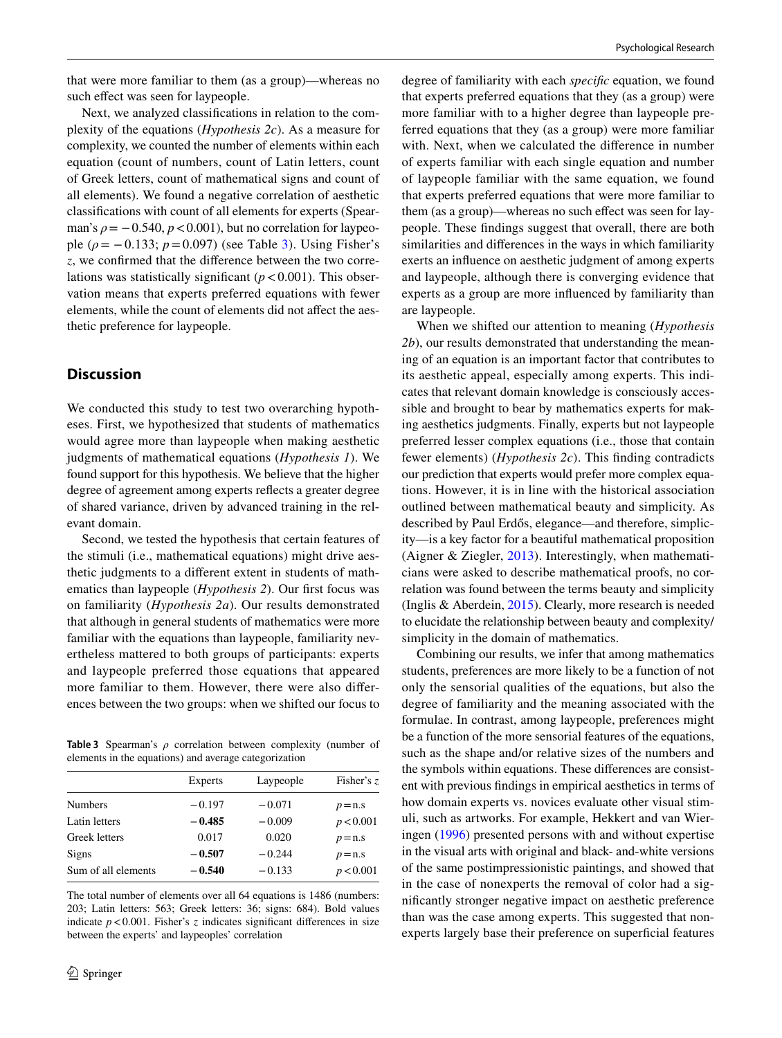that were more familiar to them (as a group)—whereas no such effect was seen for laypeople.

Next, we analyzed classifcations in relation to the complexity of the equations (*Hypothesis 2c*). As a measure for complexity, we counted the number of elements within each equation (count of numbers, count of Latin letters, count of Greek letters, count of mathematical signs and count of all elements). We found a negative correlation of aesthetic classifcations with count of all elements for experts (Spearman's  $\rho = -0.540$ ,  $p < 0.001$ ), but no correlation for laypeople ( $\rho = -0.133$ ;  $p = 0.097$ ) (see Table [3\)](#page-5-0). Using Fisher's *z*, we confrmed that the diference between the two correlations was statistically significant  $(p < 0.001)$ . This observation means that experts preferred equations with fewer elements, while the count of elements did not affect the aesthetic preference for laypeople.

## **Discussion**

We conducted this study to test two overarching hypotheses. First, we hypothesized that students of mathematics would agree more than laypeople when making aesthetic judgments of mathematical equations (*Hypothesis 1*). We found support for this hypothesis. We believe that the higher degree of agreement among experts refects a greater degree of shared variance, driven by advanced training in the relevant domain.

Second, we tested the hypothesis that certain features of the stimuli (i.e., mathematical equations) might drive aesthetic judgments to a diferent extent in students of mathematics than laypeople (*Hypothesis 2*). Our frst focus was on familiarity (*Hypothesis 2a*). Our results demonstrated that although in general students of mathematics were more familiar with the equations than laypeople, familiarity nevertheless mattered to both groups of participants: experts and laypeople preferred those equations that appeared more familiar to them. However, there were also diferences between the two groups: when we shifted our focus to

<span id="page-5-0"></span>**Table 3** Spearman's *ρ* correlation between complexity (number of elements in the equations) and average categorization

|                     | Experts  | Laypeople | Fisher's z |
|---------------------|----------|-----------|------------|
| <b>Numbers</b>      | $-0.197$ | $-0.071$  | $p = n.s$  |
| Latin letters       | $-0.485$ | $-0.009$  | p < 0.001  |
| Greek letters       | 0.017    | 0.020     | $p = n.s$  |
| Signs               | $-0.507$ | $-0.244$  | $p = n.s$  |
| Sum of all elements | $-0.540$ | $-0.133$  | p < 0.001  |
|                     |          |           |            |

The total number of elements over all 64 equations is 1486 (numbers: 203; Latin letters: 563; Greek letters: 36; signs: 684). Bold values indicate  $p < 0.001$ . Fisher's *z* indicates significant differences in size between the experts' and laypeoples' correlation

degree of familiarity with each *specifc* equation, we found that experts preferred equations that they (as a group) were more familiar with to a higher degree than laypeople preferred equations that they (as a group) were more familiar with. Next, when we calculated the diference in number of experts familiar with each single equation and number of laypeople familiar with the same equation, we found that experts preferred equations that were more familiar to them (as a group)—whereas no such effect was seen for laypeople. These fndings suggest that overall, there are both similarities and diferences in the ways in which familiarity exerts an infuence on aesthetic judgment of among experts and laypeople, although there is converging evidence that experts as a group are more infuenced by familiarity than are laypeople.

When we shifted our attention to meaning (*Hypothesis 2b*), our results demonstrated that understanding the meaning of an equation is an important factor that contributes to its aesthetic appeal, especially among experts. This indicates that relevant domain knowledge is consciously accessible and brought to bear by mathematics experts for making aesthetics judgments. Finally, experts but not laypeople preferred lesser complex equations (i.e., those that contain fewer elements) (*Hypothesis 2c*). This fnding contradicts our prediction that experts would prefer more complex equations. However, it is in line with the historical association outlined between mathematical beauty and simplicity. As described by Paul Erdős, elegance—and therefore, simplicity—is a key factor for a beautiful mathematical proposition (Aigner & Ziegler, [2013](#page-8-1)). Interestingly, when mathematicians were asked to describe mathematical proofs, no correlation was found between the terms beauty and simplicity (Inglis & Aberdein, [2015\)](#page-9-3). Clearly, more research is needed to elucidate the relationship between beauty and complexity/ simplicity in the domain of mathematics.

Combining our results, we infer that among mathematics students, preferences are more likely to be a function of not only the sensorial qualities of the equations, but also the degree of familiarity and the meaning associated with the formulae. In contrast, among laypeople, preferences might be a function of the more sensorial features of the equations, such as the shape and/or relative sizes of the numbers and the symbols within equations. These diferences are consistent with previous fndings in empirical aesthetics in terms of how domain experts vs. novices evaluate other visual stimuli, such as artworks. For example, Hekkert and van Wieringen ([1996\)](#page-8-10) presented persons with and without expertise in the visual arts with original and black- and-white versions of the same postimpressionistic paintings, and showed that in the case of nonexperts the removal of color had a signifcantly stronger negative impact on aesthetic preference than was the case among experts. This suggested that nonexperts largely base their preference on superficial features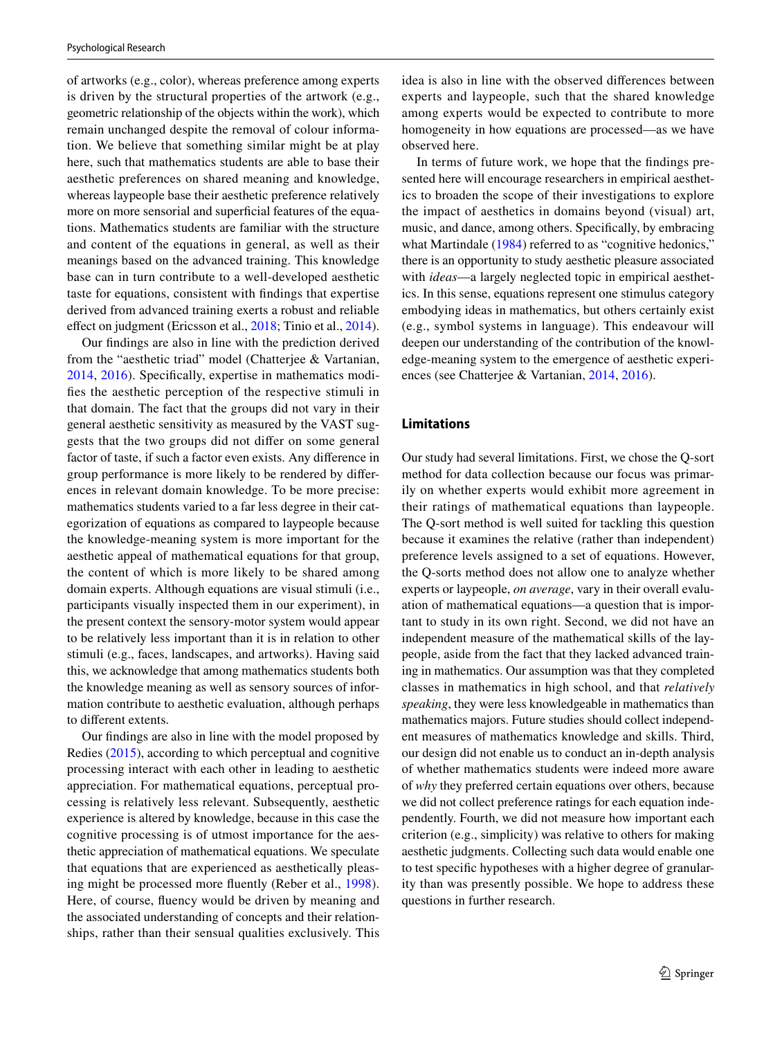of artworks (e.g., color), whereas preference among experts is driven by the structural properties of the artwork (e.g., geometric relationship of the objects within the work), which remain unchanged despite the removal of colour information. We believe that something similar might be at play here, such that mathematics students are able to base their aesthetic preferences on shared meaning and knowledge, whereas laypeople base their aesthetic preference relatively more on more sensorial and superficial features of the equations. Mathematics students are familiar with the structure and content of the equations in general, as well as their meanings based on the advanced training. This knowledge base can in turn contribute to a well-developed aesthetic taste for equations, consistent with fndings that expertise derived from advanced training exerts a robust and reliable effect on judgment (Ericsson et al., [2018;](#page-8-11) Tinio et al., [2014](#page-9-14)).

Our fndings are also in line with the prediction derived from the "aesthetic triad" model (Chatterjee & Vartanian, [2014](#page-8-6), [2016](#page-8-7)). Specifcally, expertise in mathematics modifes the aesthetic perception of the respective stimuli in that domain. The fact that the groups did not vary in their general aesthetic sensitivity as measured by the VAST suggests that the two groups did not difer on some general factor of taste, if such a factor even exists. Any diference in group performance is more likely to be rendered by diferences in relevant domain knowledge. To be more precise: mathematics students varied to a far less degree in their categorization of equations as compared to laypeople because the knowledge-meaning system is more important for the aesthetic appeal of mathematical equations for that group, the content of which is more likely to be shared among domain experts. Although equations are visual stimuli (i.e., participants visually inspected them in our experiment), in the present context the sensory-motor system would appear to be relatively less important than it is in relation to other stimuli (e.g., faces, landscapes, and artworks). Having said this, we acknowledge that among mathematics students both the knowledge meaning as well as sensory sources of information contribute to aesthetic evaluation, although perhaps to diferent extents.

Our fndings are also in line with the model proposed by Redies ([2015](#page-9-15)), according to which perceptual and cognitive processing interact with each other in leading to aesthetic appreciation. For mathematical equations, perceptual processing is relatively less relevant. Subsequently, aesthetic experience is altered by knowledge, because in this case the cognitive processing is of utmost importance for the aesthetic appreciation of mathematical equations. We speculate that equations that are experienced as aesthetically pleasing might be processed more fuently (Reber et al., [1998](#page-9-16)). Here, of course, fuency would be driven by meaning and the associated understanding of concepts and their relationships, rather than their sensual qualities exclusively. This idea is also in line with the observed diferences between experts and laypeople, such that the shared knowledge among experts would be expected to contribute to more homogeneity in how equations are processed—as we have observed here.

In terms of future work, we hope that the fndings presented here will encourage researchers in empirical aesthetics to broaden the scope of their investigations to explore the impact of aesthetics in domains beyond (visual) art, music, and dance, among others. Specifcally, by embracing what Martindale ([1984\)](#page-9-17) referred to as "cognitive hedonics," there is an opportunity to study aesthetic pleasure associated with *ideas*—a largely neglected topic in empirical aesthetics. In this sense, equations represent one stimulus category embodying ideas in mathematics, but others certainly exist (e.g., symbol systems in language). This endeavour will deepen our understanding of the contribution of the knowledge-meaning system to the emergence of aesthetic experiences (see Chatterjee & Vartanian, [2014,](#page-8-6) [2016\)](#page-8-7).

#### **Limitations**

Our study had several limitations. First, we chose the Q-sort method for data collection because our focus was primarily on whether experts would exhibit more agreement in their ratings of mathematical equations than laypeople. The Q-sort method is well suited for tackling this question because it examines the relative (rather than independent) preference levels assigned to a set of equations. However, the Q-sorts method does not allow one to analyze whether experts or laypeople, *on average*, vary in their overall evaluation of mathematical equations—a question that is important to study in its own right. Second, we did not have an independent measure of the mathematical skills of the laypeople, aside from the fact that they lacked advanced training in mathematics. Our assumption was that they completed classes in mathematics in high school, and that *relatively speaking*, they were less knowledgeable in mathematics than mathematics majors. Future studies should collect independent measures of mathematics knowledge and skills. Third, our design did not enable us to conduct an in-depth analysis of whether mathematics students were indeed more aware of *why* they preferred certain equations over others, because we did not collect preference ratings for each equation independently. Fourth, we did not measure how important each criterion (e.g., simplicity) was relative to others for making aesthetic judgments. Collecting such data would enable one to test specifc hypotheses with a higher degree of granularity than was presently possible. We hope to address these questions in further research.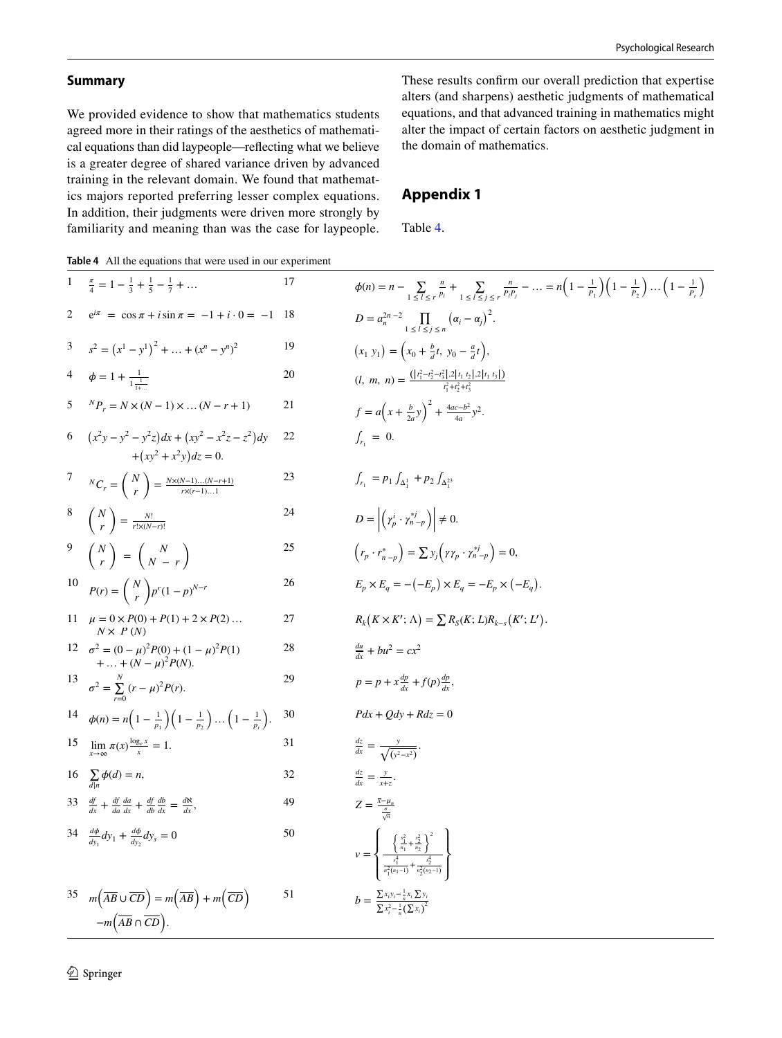## **Summary**

We provided evidence to show that mathematics students agreed more in their ratings of the aesthetics of mathematical equations than did laypeople—refecting what we believe is a greater degree of shared variance driven by advanced training in the relevant domain. We found that mathematics majors reported preferring lesser complex equations. In addition, their judgments were driven more strongly by familiarity and meaning than was the case for laypeople. These results confrm our overall prediction that expertise alters (and sharpens) aesthetic judgments of mathematical equations, and that advanced training in mathematics might alter the impact of certain factors on aesthetic judgment in the domain of mathematics.

# **Appendix 1**

Table [4](#page-7-0).

<span id="page-7-0"></span>**Table 4** All the equations that were used in our experiment

|    | 1 $\frac{\pi}{4} = 1 - \frac{1}{2} + \frac{1}{5} - \frac{1}{7} + \dots$                                                | 17 | $\phi(n) = n - \sum_{1 \leq l \leq r} \frac{n}{p_l} + \sum_{1 \leq l \leq i \leq r} \frac{n}{p_l p_j} - \dots = n \left(1 - \frac{1}{p_1}\right) \left(1 - \frac{1}{p_2}\right) \dots \left(1 - \frac{1}{p_r}\right)$ |
|----|------------------------------------------------------------------------------------------------------------------------|----|-----------------------------------------------------------------------------------------------------------------------------------------------------------------------------------------------------------------------|
|    | $e^{i\pi} = \cos \pi + i \sin \pi = -1 + i \cdot 0 = -1$ 18                                                            |    | $D = a_n^{2n-2} \prod_{1 \leq i \leq i \leq n} (\alpha_i - \alpha_j)^2$ .                                                                                                                                             |
|    | 3 $s^2 = (x^1 - y^1)^2 +  + (x^n - y^n)^2$                                                                             | 19 | $(x_1 y_1) = (x_0 + \frac{b}{d}t, y_0 - \frac{a}{d}t),$                                                                                                                                                               |
|    | 4 $\phi = 1 + \frac{1}{1-1}$                                                                                           | 20 | $(l, m, n) = \frac{( t_1^2 - t_2^2 - t_3^2 , 2 t_1, t_2 , 2 t_1, t_3 )}{t_1^2 + t_2^2 + t_3^2}$                                                                                                                       |
|    | 5 ${}^{N}P_{r} = N \times (N-1) \times  (N-r+1)$                                                                       | 21 | $f = a\left(x + \frac{b}{2a}y\right)^2 + \frac{4ac - b^2}{4a}y^2$ .                                                                                                                                                   |
|    | 6 $(x^2y - y^2 - y^2z)dx + (xy^2 - x^2z - z^2)dy$<br>$+(xy^2+x^2y)dz=0.$                                               | 22 | $\int_{r_1} = 0.$                                                                                                                                                                                                     |
|    | <sup>7</sup> ${}^{N}C_r = {N \choose r} = \frac{N \times (N-1)(N-r+1)}{r \times (r-1)1}$                               | 23 | $\int_{r_1} = p_1 \int_{\Delta_1^1} + p_2 \int_{\Delta_2^{23}}$                                                                                                                                                       |
|    | $\begin{pmatrix} N \\ r \end{pmatrix} = \frac{N!}{r! \times (N-r)!}$                                                   | 24 | $D = \left  \left( \gamma_p^i \cdot \gamma_{n-p}^{*j} \right) \right  \neq 0.$                                                                                                                                        |
|    | $\begin{pmatrix} N \\ r \end{pmatrix} = \begin{pmatrix} N \\ N-r \end{pmatrix}$                                        | 25 | $\left(r_p \cdot r_{n-p}^*\right) = \sum y_j \left(\gamma \gamma_p \cdot \gamma_{n-p}^{*j}\right) = 0,$                                                                                                               |
|    | 10 $P(r) = {N \choose r} p^r (1-p)^{N-r}$                                                                              | 26 | $E_n \times E_a = -(-E_p) \times E_q = -E_p \times (-E_q).$                                                                                                                                                           |
|    | 11 $\mu = 0 \times P(0) + P(1) + 2 \times P(2) $<br>$N \times P(N)$                                                    | 27 | $R_k(K \times K'; \Lambda) = \sum R_S(K; L)R_{k-s}(K'; L').$                                                                                                                                                          |
|    | 12 $\sigma^2 = (0 - \mu)^2 P(0) + (1 - \mu)^2 P(1)$<br>+  + $(N - \mu)^2 P(N)$ .                                       | 28 | $\frac{du}{dx} + bu^2 = cx^2$                                                                                                                                                                                         |
|    | 13 $\sigma^2 = \sum_{r=0}^{N} (r - \mu)^2 P(r)$ .                                                                      | 29 | $p = p + x \frac{dp}{dx} + f(p) \frac{dp}{dx}$                                                                                                                                                                        |
|    | 14 $\phi(n) = n\left(1 - \frac{1}{n}\right)\left(1 - \frac{1}{n}\right)\dots\left(1 - \frac{1}{n}\right).$             | 30 | $Pdx + Qdy + Rdz = 0$                                                                                                                                                                                                 |
|    | 15 $\lim_{x \to \infty} \pi(x) \frac{\log_e x}{x} = 1.$                                                                | 31 | $\frac{dz}{dx} = \frac{y}{\sqrt{(y^2 - x^2)}}.$                                                                                                                                                                       |
|    | 16 $\sum_{d n} \phi(d) = n$ ,                                                                                          | 32 | $\frac{dz}{dx} = \frac{y}{x+z}.$                                                                                                                                                                                      |
|    | 33 $\frac{df}{dx} + \frac{df}{da} \frac{da}{dx} + \frac{df}{db} \frac{db}{dx} = \frac{d\aleph}{dx}$ ,                  | 49 | $Z = \frac{\bar{x} - \mu_n}{\frac{\sigma}{\sigma_n}}$                                                                                                                                                                 |
|    | 34 $\frac{d\phi}{dy_1}dy_1 + \frac{d\phi}{dy_2}dy_s = 0$                                                               | 50 | $\nu = \left\{\frac{\frac{s_1^2}{n_1} + \frac{s_2^2}{n_2}}{\frac{s_1^4}{n_1^2(n_1-1)} + \frac{s_2^4}{n_2^2(n_2-1)}}\right\}$                                                                                          |
| 35 | $m(\overline{AB} \cup \overline{CD}) = m(\overline{AB}) + m(\overline{CD})$<br>$-m(\overline{AB} \cap \overline{CD}).$ | 51 | $b = \frac{\sum x_i y_i - \frac{1}{n} x_i \sum y_i}{\sum x_i^2 - \frac{1}{n} (\sum x_i)^2}$                                                                                                                           |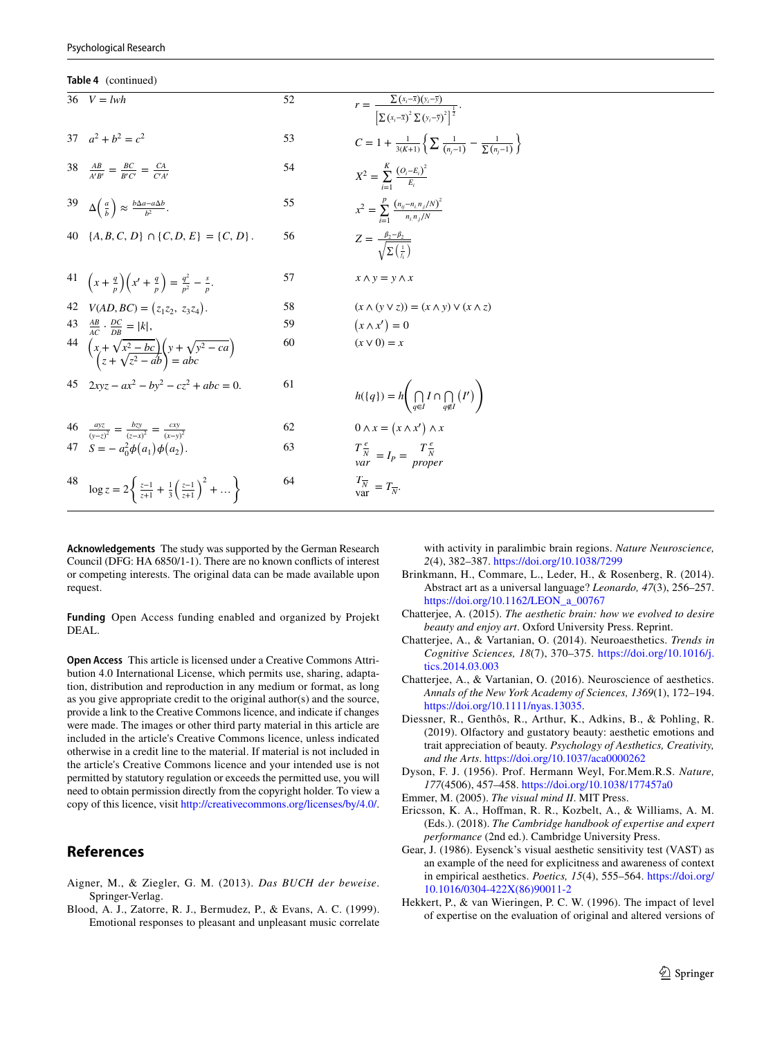**Table 4** (continued)

|    | $36 \quad V = lwh$                                                                                  | 52 | $r = \frac{\sum (x_i - \overline{x})(y_i - \overline{y})}{\left[\sum (x_i - \overline{x})^2 \sum (y_i - \overline{y})^2\right]^{\frac{1}{2}}}.$ |
|----|-----------------------------------------------------------------------------------------------------|----|-------------------------------------------------------------------------------------------------------------------------------------------------|
|    | 37 $a^2 + b^2 = c^2$                                                                                | 53 | $C = 1 + \frac{1}{3(K+1)} \left\{ \sum \frac{1}{(n-1)} - \frac{1}{\sum (n-1)} \right\}$                                                         |
|    | $\frac{AB}{A'B'} = \frac{BC}{B'C'} = \frac{CA}{C'A'}$                                               | 54 | $X^2 = \sum_{i=1}^{K} \frac{(O_i - E_i)^2}{E_i}$                                                                                                |
|    | 39 $\Delta\left(\frac{a}{b}\right) \approx \frac{b\Delta a - a\Delta b}{b^2}$ .                     | 55 | $x^2 = \sum_{n=1}^{p} \frac{(n_{ij} - n_{i,n,j}/N)^2}{n_{i,n,j}/N}$                                                                             |
|    | 40 $\{A, B, C, D\} \cap \{C, D, E\} = \{C, D\}.$                                                    | 56 | $Z = \frac{\beta_2 - \beta_2}{\sqrt{\sum \left(\frac{1}{\epsilon}\right)}}$                                                                     |
|    |                                                                                                     |    |                                                                                                                                                 |
|    | 41 $\left(x+\frac{q}{p}\right)\left(x'+\frac{q}{p}\right)=\frac{q^2}{p^2}-\frac{s}{p}$ .            | 57 | $x \wedge y = y \wedge x$                                                                                                                       |
|    | 42 $V(AD, BC) = (z_1z_2, z_3z_4).$                                                                  | 58 | $(x \wedge (y \vee z)) = (x \wedge y) \vee (x \wedge z)$                                                                                        |
|    | 43 $\frac{AB}{AC} \cdot \frac{DC}{DB} =  k $ ,                                                      | 59 | $(x \wedge x') = 0$                                                                                                                             |
|    | 44 $\left(x+\sqrt{x^2-bc}\right)\left(y+\sqrt{y^2-ca}\right)$<br>$\left(z+\sqrt{z^2-ab}\right)=abc$ | 60 | $(x \vee 0) = x$                                                                                                                                |
|    | 45 $2xyz - ax^2 - by^2 - cz^2 + abc = 0$ .                                                          | 61 | $h({q}) = h\left(\bigcap_{a \in I} I \cap \bigcap_{a \notin I} (I')\right)$                                                                     |
|    | 46 $\frac{dy}{(y-z)^2} = \frac{bzy}{(z-x)^2} = \frac{cxy}{(x-y)^2}$                                 | 62 | $0 \wedge x = (x \wedge x') \wedge x$                                                                                                           |
|    | 47 $S = -a_0^2 \phi(a_1) \phi(a_2)$ .                                                               | 63 | $\frac{T\frac{e}{N}}{var} = I_P = \frac{T\frac{e}{N}}{proper}$                                                                                  |
| 48 | $\log z = 2\left\{\frac{z-1}{z+1} + \frac{1}{3}\left(\frac{z-1}{z+1}\right)^2 + \dots \right\}$     | 64 | $\frac{T_{\overline{N}}}{\text{var}} = T_{\overline{N}}.$                                                                                       |
|    |                                                                                                     |    |                                                                                                                                                 |

**Acknowledgements** The study was supported by the German Research Council (DFG: HA 6850/1-1). There are no known conficts of interest or competing interests. The original data can be made available upon request.

**Funding** Open Access funding enabled and organized by Projekt DEAL.

**Open Access** This article is licensed under a Creative Commons Attribution 4.0 International License, which permits use, sharing, adaptation, distribution and reproduction in any medium or format, as long as you give appropriate credit to the original author(s) and the source, provide a link to the Creative Commons licence, and indicate if changes were made. The images or other third party material in this article are included in the article's Creative Commons licence, unless indicated otherwise in a credit line to the material. If material is not included in the article's Creative Commons licence and your intended use is not permitted by statutory regulation or exceeds the permitted use, you will need to obtain permission directly from the copyright holder. To view a copy of this licence, visit <http://creativecommons.org/licenses/by/4.0/>.

## **References**

- <span id="page-8-1"></span>Aigner, M., & Ziegler, G. M. (2013). *Das BUCH der beweise*. Springer-Verlag.
- <span id="page-8-4"></span>Blood, A. J., Zatorre, R. J., Bermudez, P., & Evans, A. C. (1999). Emotional responses to pleasant and unpleasant music correlate

with activity in paralimbic brain regions. *Nature Neuroscience, 2*(4), 382–387.<https://doi.org/10.1038/7299>

- <span id="page-8-8"></span>Brinkmann, H., Commare, L., Leder, H., & Rosenberg, R. (2014). Abstract art as a universal language? *Leonardo, 47*(3), 256–257. [https://doi.org/10.1162/LEON\\_a\\_00767](https://doi.org/10.1162/LEON_a_00767)
- <span id="page-8-5"></span>Chatterjee, A. (2015). *The aesthetic brain: how we evolved to desire beauty and enjoy art*. Oxford University Press. Reprint.
- <span id="page-8-6"></span>Chatterjee, A., & Vartanian, O. (2014). Neuroaesthetics. *Trends in Cognitive Sciences, 18*(7), 370–375. [https://doi.org/10.1016/j.](https://doi.org/10.1016/j.tics.2014.03.003) [tics.2014.03.003](https://doi.org/10.1016/j.tics.2014.03.003)
- <span id="page-8-7"></span>Chatterjee, A., & Vartanian, O. (2016). Neuroscience of aesthetics. *Annals of the New York Academy of Sciences, 1369*(1), 172–194. <https://doi.org/10.1111/nyas.13035>.
- <span id="page-8-0"></span>Diessner, R., Genthôs, R., Arthur, K., Adkins, B., & Pohling, R. (2019). Olfactory and gustatory beauty: aesthetic emotions and trait appreciation of beauty. *Psychology of Aesthetics, Creativity, and the Arts*.<https://doi.org/10.1037/aca0000262>
- <span id="page-8-2"></span>Dyson, F. J. (1956). Prof. Hermann Weyl, For.Mem.R.S. *Nature, 177*(4506), 457–458.<https://doi.org/10.1038/177457a0>
- <span id="page-8-3"></span>Emmer, M. (2005). *The visual mind II*. MIT Press.
- <span id="page-8-11"></span>Ericsson, K. A., Hofman, R. R., Kozbelt, A., & Williams, A. M. (Eds.). (2018). *The Cambridge handbook of expertise and expert performance* (2nd ed.). Cambridge University Press.
- <span id="page-8-9"></span>Gear, J. (1986). Eysenck's visual aesthetic sensitivity test (VAST) as an example of the need for explicitness and awareness of context in empirical aesthetics. *Poetics, 15*(4), 555–564. [https://doi.org/](https://doi.org/10.1016/0304-422X(86)90011-2) [10.1016/0304-422X\(86\)90011-2](https://doi.org/10.1016/0304-422X(86)90011-2)
- <span id="page-8-10"></span>Hekkert, P., & van Wieringen, P. C. W. (1996). The impact of level of expertise on the evaluation of original and altered versions of